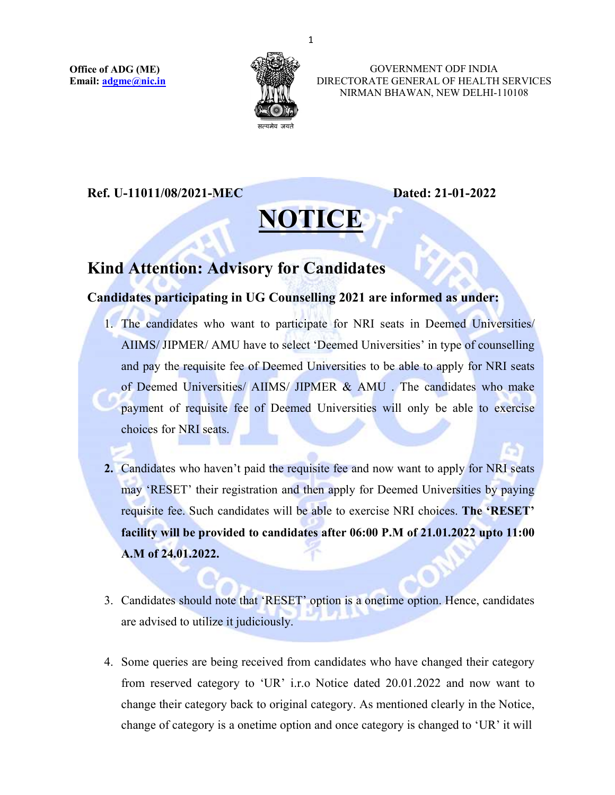

 GOVERNMENT ODF INDIA DIRECTORATE GENERAL OF HEALTH SERVICES NIRMAN BHAWAN, NEW DELHI-110108

## Ref. U-11011/08/2021-MEC Dated: 21-01-2022

## NOTICE

## Kind Attention: Advisory for Candidates<br>Candidates participating in UG Counselling 2021 are informed as under:

- 1. The candidates who want to participate for NRI seats in Deemed Universities/ AIIMS/ JIPMER/ AMU have to select 'Deemed Universities' in type of counselling and pay the requisite fee of Deemed Universities to be able to apply for NRI seats of Deemed Universities/ AIIMS/ JIPMER & AMU . The candidates who make payment of requisite fee of Deemed Universities will only be able to exercise choices for NRI seats.
- 2. Candidates who haven't paid the requisite fee and now want to apply for NRI seats may 'RESET' their registration and then apply for Deemed Universities by paying requisite fee. Such candidates will be able to exercise NRI choices. The 'RESET' facility will be provided to candidates after 06:00 P.M of 21.01.2022 upto 11:00 A.M of 24.01.2022.
- 3. Candidates should note that 'RESET' option is a onetime option. Hence, candidates are advised to utilize it judiciously.
- 4. Some queries are being received from candidates who have changed their category from reserved category to 'UR' i.r.o Notice dated 20.01.2022 and now want to change their category back to original category. As mentioned clearly in the Notice, change of category is a onetime option and once category is changed to 'UR' it will